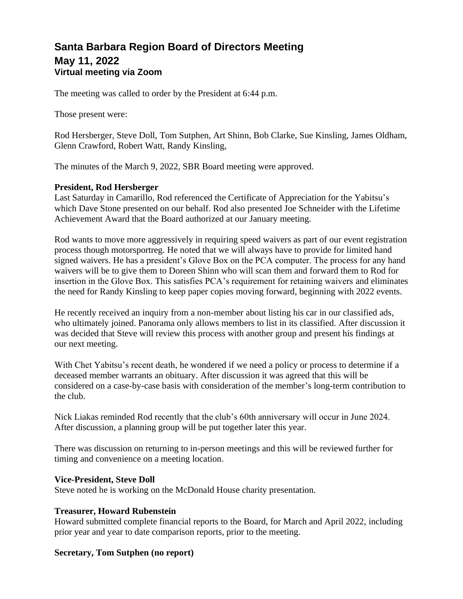# **Santa Barbara Region Board of Directors Meeting May 11, 2022 Virtual meeting via Zoom**

The meeting was called to order by the President at 6:44 p.m.

Those present were:

Rod Hersberger, Steve Doll, Tom Sutphen, Art Shinn, Bob Clarke, Sue Kinsling, James Oldham, Glenn Crawford, Robert Watt, Randy Kinsling,

The minutes of the March 9, 2022, SBR Board meeting were approved.

## **President, Rod Hersberger**

Last Saturday in Camarillo, Rod referenced the Certificate of Appreciation for the Yabitsu's which Dave Stone presented on our behalf. Rod also presented Joe Schneider with the Lifetime Achievement Award that the Board authorized at our January meeting.

Rod wants to move more aggressively in requiring speed waivers as part of our event registration process though motorsportreg. He noted that we will always have to provide for limited hand signed waivers. He has a president's Glove Box on the PCA computer. The process for any hand waivers will be to give them to Doreen Shinn who will scan them and forward them to Rod for insertion in the Glove Box. This satisfies PCA's requirement for retaining waivers and eliminates the need for Randy Kinsling to keep paper copies moving forward, beginning with 2022 events.

He recently received an inquiry from a non-member about listing his car in our classified ads, who ultimately joined. Panorama only allows members to list in its classified. After discussion it was decided that Steve will review this process with another group and present his findings at our next meeting.

With Chet Yabitsu's recent death, he wondered if we need a policy or process to determine if a deceased member warrants an obituary. After discussion it was agreed that this will be considered on a case-by-case basis with consideration of the member's long-term contribution to the club.

Nick Liakas reminded Rod recently that the club's 60th anniversary will occur in June 2024. After discussion, a planning group will be put together later this year.

There was discussion on returning to in-person meetings and this will be reviewed further for timing and convenience on a meeting location.

#### **Vice-President, Steve Doll**

Steve noted he is working on the McDonald House charity presentation.

# **Treasurer, Howard Rubenstein**

Howard submitted complete financial reports to the Board, for March and April 2022, including prior year and year to date comparison reports, prior to the meeting.

# **Secretary, Tom Sutphen (no report)**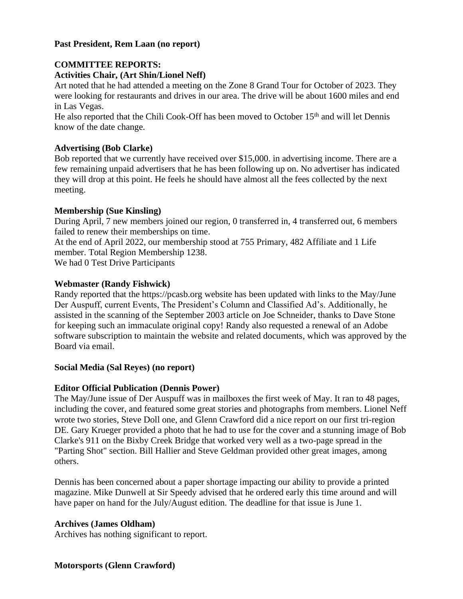## **Past President, Rem Laan (no report)**

# **COMMITTEE REPORTS:**

## **Activities Chair, (Art Shin/Lionel Neff)**

Art noted that he had attended a meeting on the Zone 8 Grand Tour for October of 2023. They were looking for restaurants and drives in our area. The drive will be about 1600 miles and end in Las Vegas.

He also reported that the Chili Cook-Off has been moved to October 15<sup>th</sup> and will let Dennis know of the date change.

## **Advertising (Bob Clarke)**

Bob reported that we currently have received over \$15,000. in advertising income. There are a few remaining unpaid advertisers that he has been following up on. No advertiser has indicated they will drop at this point. He feels he should have almost all the fees collected by the next meeting.

## **Membership (Sue Kinsling)**

During April, 7 new members joined our region, 0 transferred in, 4 transferred out, 6 members failed to renew their memberships on time.

At the end of April 2022, our membership stood at 755 Primary, 482 Affiliate and 1 Life member. Total Region Membership 1238.

We had 0 Test Drive Participants

## **Webmaster (Randy Fishwick)**

Randy reported that the [https://pcasb.org](https://pcasb.org/) website has been updated with links to the May/June Der Auspuff, current Events, The President's Column and Classified Ad's. Additionally, he assisted in the scanning of the September 2003 article on Joe Schneider, thanks to Dave Stone for keeping such an immaculate original copy! Randy also requested a renewal of an Adobe software subscription to maintain the website and related documents, which was approved by the Board via email.

#### **Social Media (Sal Reyes) (no report)**

# **Editor Official Publication (Dennis Power)**

The May/June issue of Der Auspuff was in mailboxes the first week of May. It ran to 48 pages, including the cover, and featured some great stories and photographs from members. Lionel Neff wrote two stories, Steve Doll one, and Glenn Crawford did a nice report on our first tri-region DE. Gary Krueger provided a photo that he had to use for the cover and a stunning image of Bob Clarke's 911 on the Bixby Creek Bridge that worked very well as a two-page spread in the "Parting Shot" section. Bill Hallier and Steve Geldman provided other great images, among others.

Dennis has been concerned about a paper shortage impacting our ability to provide a printed magazine. Mike Dunwell at Sir Speedy advised that he ordered early this time around and will have paper on hand for the July/August edition. The deadline for that issue is June 1.

# **Archives (James Oldham)**

Archives has nothing significant to report.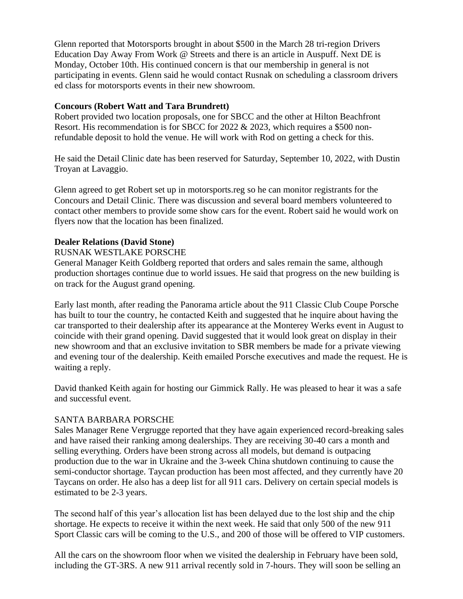Glenn reported that Motorsports brought in about \$500 in the March 28 tri-region Drivers Education Day Away From Work @ Streets and there is an article in Auspuff. Next DE is Monday, October 10th. His continued concern is that our membership in general is not participating in events. Glenn said he would contact Rusnak on scheduling a classroom drivers ed class for motorsports events in their new showroom.

## **Concours (Robert Watt and Tara Brundrett)**

Robert provided two location proposals, one for SBCC and the other at Hilton Beachfront Resort. His recommendation is for SBCC for 2022 & 2023, which requires a \$500 nonrefundable deposit to hold the venue. He will work with Rod on getting a check for this.

He said the Detail Clinic date has been reserved for Saturday, September 10, 2022, with Dustin Troyan at Lavaggio.

Glenn agreed to get Robert set up in motorsports.reg so he can monitor registrants for the Concours and Detail Clinic. There was discussion and several board members volunteered to contact other members to provide some show cars for the event. Robert said he would work on flyers now that the location has been finalized.

#### **Dealer Relations (David Stone)**

#### RUSNAK WESTLAKE PORSCHE

General Manager Keith Goldberg reported that orders and sales remain the same, although production shortages continue due to world issues. He said that progress on the new building is on track for the August grand opening.

Early last month, after reading the Panorama article about the 911 Classic Club Coupe Porsche has built to tour the country, he contacted Keith and suggested that he inquire about having the car transported to their dealership after its appearance at the Monterey Werks event in August to coincide with their grand opening. David suggested that it would look great on display in their new showroom and that an exclusive invitation to SBR members be made for a private viewing and evening tour of the dealership. Keith emailed Porsche executives and made the request. He is waiting a reply.

David thanked Keith again for hosting our Gimmick Rally. He was pleased to hear it was a safe and successful event.

#### SANTA BARBARA PORSCHE

Sales Manager Rene Vergrugge reported that they have again experienced record-breaking sales and have raised their ranking among dealerships. They are receiving 30-40 cars a month and selling everything. Orders have been strong across all models, but demand is outpacing production due to the war in Ukraine and the 3-week China shutdown continuing to cause the semi-conductor shortage. Taycan production has been most affected, and they currently have 20 Taycans on order. He also has a deep list for all 911 cars. Delivery on certain special models is estimated to be 2-3 years.

The second half of this year's allocation list has been delayed due to the lost ship and the chip shortage. He expects to receive it within the next week. He said that only 500 of the new 911 Sport Classic cars will be coming to the U.S., and 200 of those will be offered to VIP customers.

All the cars on the showroom floor when we visited the dealership in February have been sold, including the GT-3RS. A new 911 arrival recently sold in 7-hours. They will soon be selling an